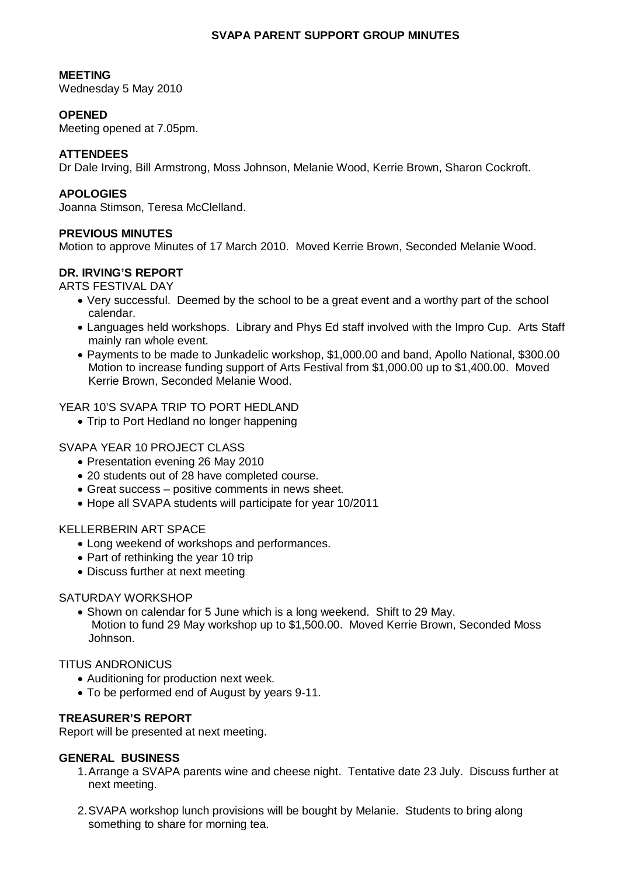## **SVAPA PARENT SUPPORT GROUP MINUTES**

### **MEETING**

Wednesday 5 May 2010

## **OPENED**

Meeting opened at 7.05pm.

# **ATTENDEES**

Dr Dale Irving, Bill Armstrong, Moss Johnson, Melanie Wood, Kerrie Brown, Sharon Cockroft.

### **APOLOGIES**

Joanna Stimson, Teresa McClelland.

### **PREVIOUS MINUTES**

Motion to approve Minutes of 17 March 2010. Moved Kerrie Brown, Seconded Melanie Wood.

## **DR. IRVING'S REPORT**

ARTS FESTIVAL DAY

- Very successful. Deemed by the school to be a great event and a worthy part of the school calendar.
- Languages held workshops. Library and Phys Ed staff involved with the Impro Cup. Arts Staff mainly ran whole event.
- Payments to be made to Junkadelic workshop, \$1,000.00 and band, Apollo National, \$300.00 Motion to increase funding support of Arts Festival from \$1,000.00 up to \$1,400.00. Moved Kerrie Brown, Seconded Melanie Wood.

YEAR 10'S SVAPA TRIP TO PORT HEDLAND

• Trip to Port Hedland no longer happening

#### SVAPA YEAR 10 PROJECT CLASS

- Presentation evening 26 May 2010
- 20 students out of 28 have completed course.
- Great success positive comments in news sheet.
- Hope all SVAPA students will participate for year 10/2011

#### KELLERBERIN ART SPACE

- Long weekend of workshops and performances.
- Part of rethinking the year 10 trip
- Discuss further at next meeting

### SATURDAY WORKSHOP

• Shown on calendar for 5 June which is a long weekend. Shift to 29 May. Motion to fund 29 May workshop up to \$1,500.00. Moved Kerrie Brown, Seconded Moss Johnson.

### TITUS ANDRONICUS

- Auditioning for production next week.
- To be performed end of August by years 9-11.

## **TREASURER'S REPORT**

Report will be presented at next meeting.

### **GENERAL BUSINESS**

- 1. Arrange a SVAPA parents wine and cheese night. Tentative date 23 July. Discuss further at next meeting.
- 2. SVAPA workshop lunch provisions will be bought by Melanie. Students to bring along something to share for morning tea.